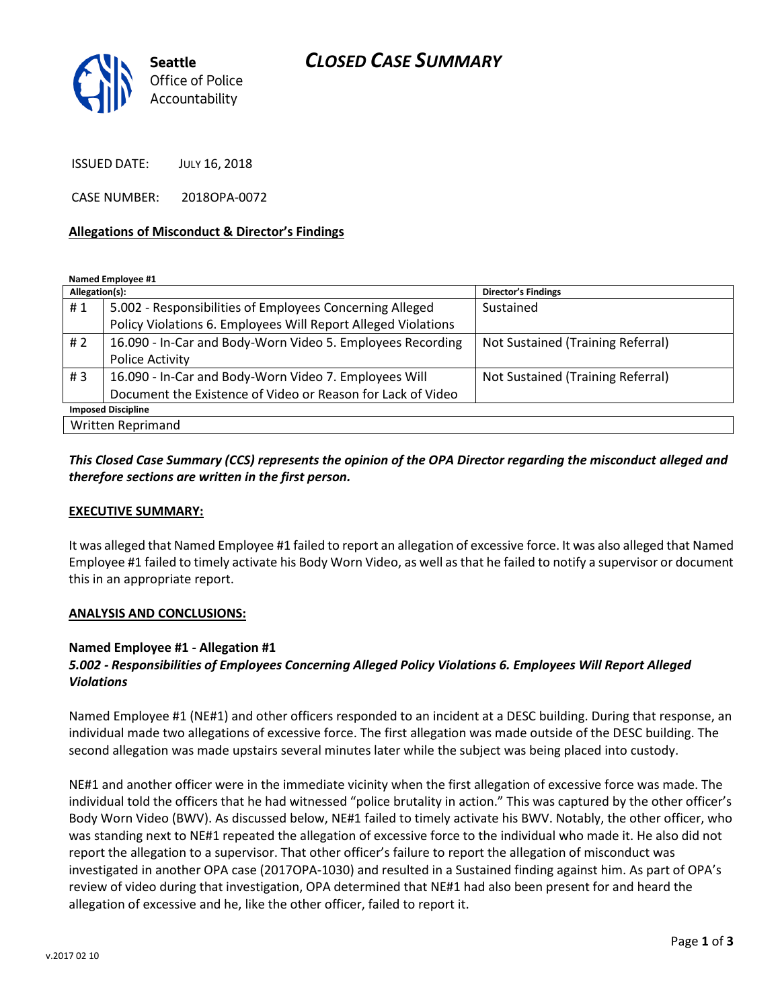

ISSUED DATE: JULY 16, 2018

CASE NUMBER: 2018OPA-0072

### **Allegations of Misconduct & Director's Findings**

**Named Employee #1**

| Allegation(s):            |                                                               | Director's Findings               |
|---------------------------|---------------------------------------------------------------|-----------------------------------|
| #1                        | 5.002 - Responsibilities of Employees Concerning Alleged      | Sustained                         |
|                           | Policy Violations 6. Employees Will Report Alleged Violations |                                   |
| # $2$                     | 16.090 - In-Car and Body-Worn Video 5. Employees Recording    | Not Sustained (Training Referral) |
|                           | Police Activity                                               |                                   |
| #3                        | 16.090 - In-Car and Body-Worn Video 7. Employees Will         | Not Sustained (Training Referral) |
|                           | Document the Existence of Video or Reason for Lack of Video   |                                   |
| <b>Imposed Discipline</b> |                                                               |                                   |
| Written Reprimand         |                                                               |                                   |

## *This Closed Case Summary (CCS) represents the opinion of the OPA Director regarding the misconduct alleged and therefore sections are written in the first person.*

### **EXECUTIVE SUMMARY:**

It was alleged that Named Employee #1 failed to report an allegation of excessive force. It was also alleged that Named Employee #1 failed to timely activate his Body Worn Video, as well as that he failed to notify a supervisor or document this in an appropriate report.

### **ANALYSIS AND CONCLUSIONS:**

### **Named Employee #1 - Allegation #1**

## *5.002 - Responsibilities of Employees Concerning Alleged Policy Violations 6. Employees Will Report Alleged Violations*

Named Employee #1 (NE#1) and other officers responded to an incident at a DESC building. During that response, an individual made two allegations of excessive force. The first allegation was made outside of the DESC building. The second allegation was made upstairs several minutes later while the subject was being placed into custody.

NE#1 and another officer were in the immediate vicinity when the first allegation of excessive force was made. The individual told the officers that he had witnessed "police brutality in action." This was captured by the other officer's Body Worn Video (BWV). As discussed below, NE#1 failed to timely activate his BWV. Notably, the other officer, who was standing next to NE#1 repeated the allegation of excessive force to the individual who made it. He also did not report the allegation to a supervisor. That other officer's failure to report the allegation of misconduct was investigated in another OPA case (2017OPA-1030) and resulted in a Sustained finding against him. As part of OPA's review of video during that investigation, OPA determined that NE#1 had also been present for and heard the allegation of excessive and he, like the other officer, failed to report it.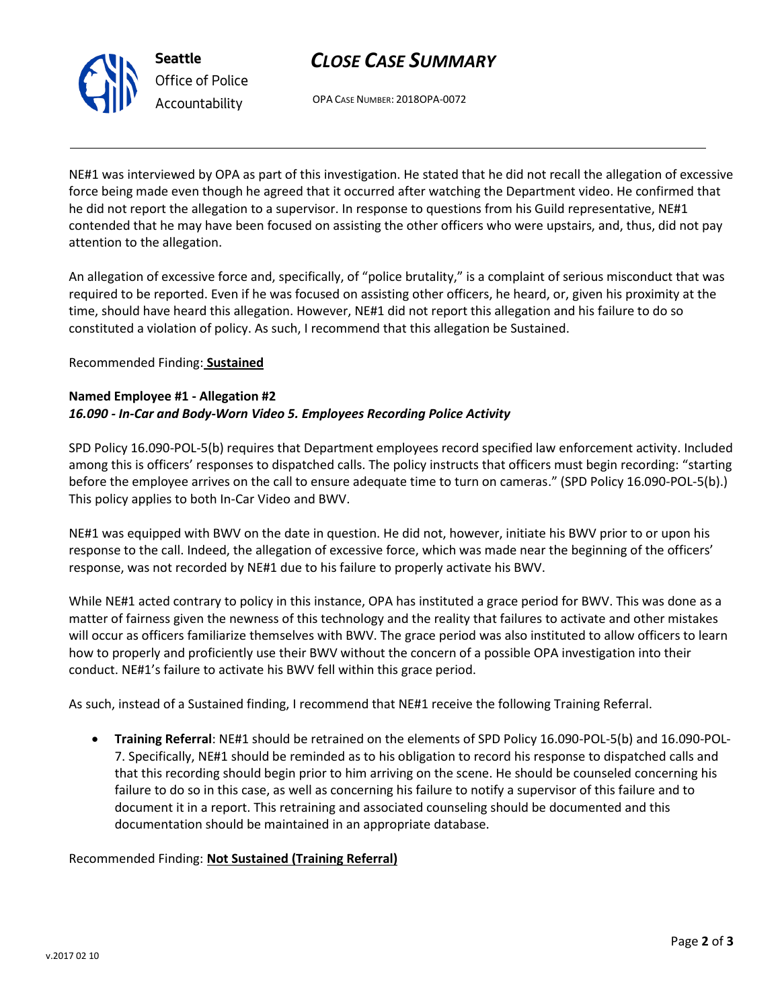

# *CLOSE CASE SUMMARY*

OPA CASE NUMBER: 2018OPA-0072

NE#1 was interviewed by OPA as part of this investigation. He stated that he did not recall the allegation of excessive force being made even though he agreed that it occurred after watching the Department video. He confirmed that he did not report the allegation to a supervisor. In response to questions from his Guild representative, NE#1 contended that he may have been focused on assisting the other officers who were upstairs, and, thus, did not pay attention to the allegation.

An allegation of excessive force and, specifically, of "police brutality," is a complaint of serious misconduct that was required to be reported. Even if he was focused on assisting other officers, he heard, or, given his proximity at the time, should have heard this allegation. However, NE#1 did not report this allegation and his failure to do so constituted a violation of policy. As such, I recommend that this allegation be Sustained.

## Recommended Finding: **Sustained**

## **Named Employee #1 - Allegation #2** *16.090 - In-Car and Body-Worn Video 5. Employees Recording Police Activity*

SPD Policy 16.090-POL-5(b) requires that Department employees record specified law enforcement activity. Included among this is officers' responses to dispatched calls. The policy instructs that officers must begin recording: "starting before the employee arrives on the call to ensure adequate time to turn on cameras." (SPD Policy 16.090-POL-5(b).) This policy applies to both In-Car Video and BWV.

NE#1 was equipped with BWV on the date in question. He did not, however, initiate his BWV prior to or upon his response to the call. Indeed, the allegation of excessive force, which was made near the beginning of the officers' response, was not recorded by NE#1 due to his failure to properly activate his BWV.

While NE#1 acted contrary to policy in this instance, OPA has instituted a grace period for BWV. This was done as a matter of fairness given the newness of this technology and the reality that failures to activate and other mistakes will occur as officers familiarize themselves with BWV. The grace period was also instituted to allow officers to learn how to properly and proficiently use their BWV without the concern of a possible OPA investigation into their conduct. NE#1's failure to activate his BWV fell within this grace period.

As such, instead of a Sustained finding, I recommend that NE#1 receive the following Training Referral.

• **Training Referral**: NE#1 should be retrained on the elements of SPD Policy 16.090-POL-5(b) and 16.090-POL-7. Specifically, NE#1 should be reminded as to his obligation to record his response to dispatched calls and that this recording should begin prior to him arriving on the scene. He should be counseled concerning his failure to do so in this case, as well as concerning his failure to notify a supervisor of this failure and to document it in a report. This retraining and associated counseling should be documented and this documentation should be maintained in an appropriate database.

Recommended Finding: **Not Sustained (Training Referral)**